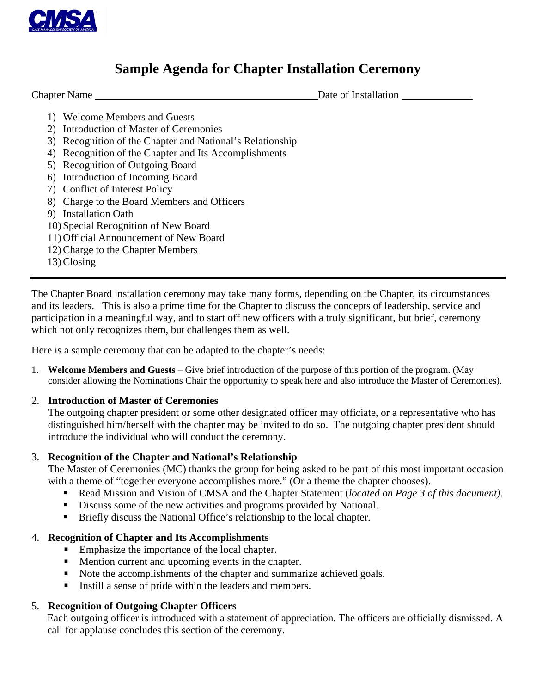

### **Sample Agenda for Chapter Installation Ceremony**

**Chapter Name** Date of Installation

- 1) Welcome Members and Guests
- 2) Introduction of Master of Ceremonies
- 3) Recognition of the Chapter and National's Relationship
- 4) Recognition of the Chapter and Its Accomplishments
- 5) Recognition of Outgoing Board
- 6) Introduction of Incoming Board
- 7) Conflict of Interest Policy
- 8) Charge to the Board Members and Officers
- 9) Installation Oath
- 10) Special Recognition of New Board
- 11) Official Announcement of New Board
- 12) Charge to the Chapter Members
- 13) Closing

The Chapter Board installation ceremony may take many forms, depending on the Chapter, its circumstances and its leaders. This is also a prime time for the Chapter to discuss the concepts of leadership, service and participation in a meaningful way, and to start off new officers with a truly significant, but brief, ceremony which not only recognizes them, but challenges them as well.

Here is a sample ceremony that can be adapted to the chapter's needs:

1. **Welcome Members and Guests** – Give brief introduction of the purpose of this portion of the program. (May consider allowing the Nominations Chair the opportunity to speak here and also introduce the Master of Ceremonies).

### 2. **Introduction of Master of Ceremonies**

The outgoing chapter president or some other designated officer may officiate, or a representative who has distinguished him/herself with the chapter may be invited to do so. The outgoing chapter president should introduce the individual who will conduct the ceremony.

### 3. **Recognition of the Chapter and National's Relationship**

The Master of Ceremonies (MC) thanks the group for being asked to be part of this most important occasion with a theme of "together everyone accomplishes more." (Or a theme the chapter chooses).

- Read Mission and Vision of CMSA and the Chapter Statement (*located on Page 3 of this document).*
- Discuss some of the new activities and programs provided by National.
- Briefly discuss the National Office's relationship to the local chapter.

### 4. **Recognition of Chapter and Its Accomplishments**

- Emphasize the importance of the local chapter.
- **Mention current and upcoming events in the chapter.**
- Note the accomplishments of the chapter and summarize achieved goals.
- Instill a sense of pride within the leaders and members.

### 5. **Recognition of Outgoing Chapter Officers**

Each outgoing officer is introduced with a statement of appreciation. The officers are officially dismissed. A call for applause concludes this section of the ceremony.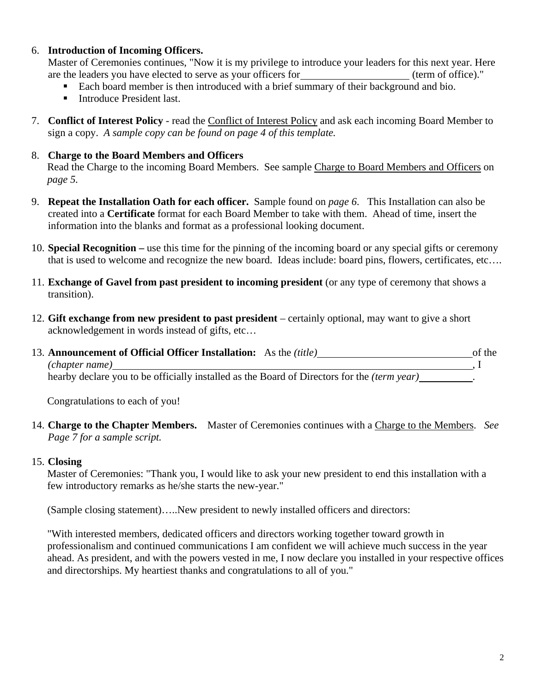#### 6. **Introduction of Incoming Officers.**

Master of Ceremonies continues, "Now it is my privilege to introduce your leaders for this next year. Here are the leaders you have elected to serve as your officers for (term of office)."

- Each board member is then introduced with a brief summary of their background and bio.
- **Introduce President last.**
- 7. **Conflict of Interest Policy** read the Conflict of Interest Policy and ask each incoming Board Member to sign a copy. *A sample copy can be found on page 4 of this template.*

#### 8. **Charge to the Board Members and Officers**

Read the Charge to the incoming Board Members. See sample Charge to Board Members and Officers on *page 5.* 

- 9. **Repeat the Installation Oath for each officer.** Sample found on *page 6*. This Installation can also be created into a **Certificate** format for each Board Member to take with them. Ahead of time, insert the information into the blanks and format as a professional looking document.
- 10. **Special Recognition –** use this time for the pinning of the incoming board or any special gifts or ceremony that is used to welcome and recognize the new board. Ideas include: board pins, flowers, certificates, etc….
- 11. **Exchange of Gavel from past president to incoming president** (or any type of ceremony that shows a transition).
- 12. **Gift exchange from new president to past president**  certainly optional, may want to give a short acknowledgement in words instead of gifts, etc…
- 13. **Announcement of Official Officer Installation:** As the *(title)* of the of the *(chapter name)* , I hearby declare you to be officially installed as the Board of Directors for the *(term year)* .

Congratulations to each of you!

14. **Charge to the Chapter Members.** Master of Ceremonies continues with a Charge to the Members. *See Page 7 for a sample script.* 

#### 15. **Closing**

Master of Ceremonies: "Thank you, I would like to ask your new president to end this installation with a few introductory remarks as he/she starts the new-year."

(Sample closing statement)…..New president to newly installed officers and directors:

"With interested members, dedicated officers and directors working together toward growth in professionalism and continued communications I am confident we will achieve much success in the year ahead. As president, and with the powers vested in me, I now declare you installed in your respective offices and directorships. My heartiest thanks and congratulations to all of you."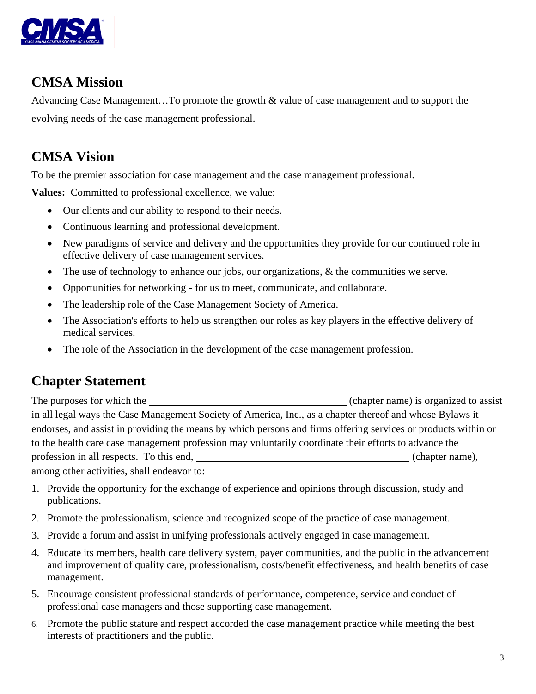

### **CMSA Mission**

Advancing Case Management…To promote the growth & value of case management and to support the evolving needs of the case management professional.

# **CMSA Vision**

To be the premier association for case management and the case management professional.

**Values:** Committed to professional excellence, we value:

- Our clients and our ability to respond to their needs.
- Continuous learning and professional development.
- New paradigms of service and delivery and the opportunities they provide for our continued role in effective delivery of case management services.
- The use of technology to enhance our jobs, our organizations, & the communities we serve.
- Opportunities for networking for us to meet, communicate, and collaborate.
- The leadership role of the Case Management Society of America.
- The Association's efforts to help us strengthen our roles as key players in the effective delivery of medical services.
- The role of the Association in the development of the case management profession.

### **Chapter Statement**

The purposes for which the (chapter name) is organized to assist in all legal ways the Case Management Society of America, Inc., as a chapter thereof and whose Bylaws it endorses, and assist in providing the means by which persons and firms offering services or products within or to the health care case management profession may voluntarily coordinate their efforts to advance the profession in all respects. To this end,  $(chapter name)$ , among other activities, shall endeavor to:

1. Provide the opportunity for the exchange of experience and opinions through discussion, study and publications.

- 2. Promote the professionalism, science and recognized scope of the practice of case management.
- 3. Provide a forum and assist in unifying professionals actively engaged in case management.
- 4. Educate its members, health care delivery system, payer communities, and the public in the advancement and improvement of quality care, professionalism, costs/benefit effectiveness, and health benefits of case management.
- 5. Encourage consistent professional standards of performance, competence, service and conduct of professional case managers and those supporting case management.
- 6. Promote the public stature and respect accorded the case management practice while meeting the best interests of practitioners and the public.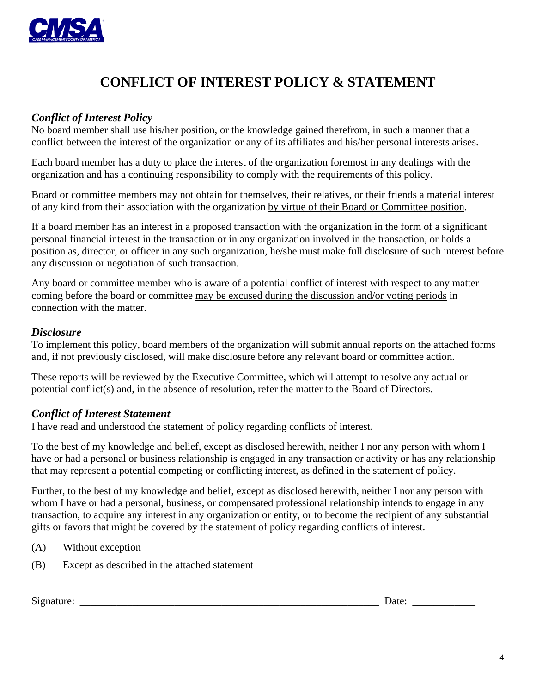

## **CONFLICT OF INTEREST POLICY & STATEMENT**

### *Conflict of Interest Policy*

No board member shall use his/her position, or the knowledge gained therefrom, in such a manner that a conflict between the interest of the organization or any of its affiliates and his/her personal interests arises.

Each board member has a duty to place the interest of the organization foremost in any dealings with the organization and has a continuing responsibility to comply with the requirements of this policy.

Board or committee members may not obtain for themselves, their relatives, or their friends a material interest of any kind from their association with the organization by virtue of their Board or Committee position.

If a board member has an interest in a proposed transaction with the organization in the form of a significant personal financial interest in the transaction or in any organization involved in the transaction, or holds a position as, director, or officer in any such organization, he/she must make full disclosure of such interest before any discussion or negotiation of such transaction.

Any board or committee member who is aware of a potential conflict of interest with respect to any matter coming before the board or committee may be excused during the discussion and/or voting periods in connection with the matter.

### *Disclosure*

To implement this policy, board members of the organization will submit annual reports on the attached forms and, if not previously disclosed, will make disclosure before any relevant board or committee action.

These reports will be reviewed by the Executive Committee, which will attempt to resolve any actual or potential conflict(s) and, in the absence of resolution, refer the matter to the Board of Directors.

### *Conflict of Interest Statement*

I have read and understood the statement of policy regarding conflicts of interest.

To the best of my knowledge and belief, except as disclosed herewith, neither I nor any person with whom I have or had a personal or business relationship is engaged in any transaction or activity or has any relationship that may represent a potential competing or conflicting interest, as defined in the statement of policy.

Further, to the best of my knowledge and belief, except as disclosed herewith, neither I nor any person with whom I have or had a personal, business, or compensated professional relationship intends to engage in any transaction, to acquire any interest in any organization or entity, or to become the recipient of any substantial gifts or favors that might be covered by the statement of policy regarding conflicts of interest.

- (A) Without exception
- (B) Except as described in the attached statement

Signature: \_\_\_\_\_\_\_\_\_\_\_\_\_\_\_\_\_\_\_\_\_\_\_\_\_\_\_\_\_\_\_\_\_\_\_\_\_\_\_\_\_\_\_\_\_\_\_\_\_\_\_\_\_\_\_\_\_ Date: \_\_\_\_\_\_\_\_\_\_\_\_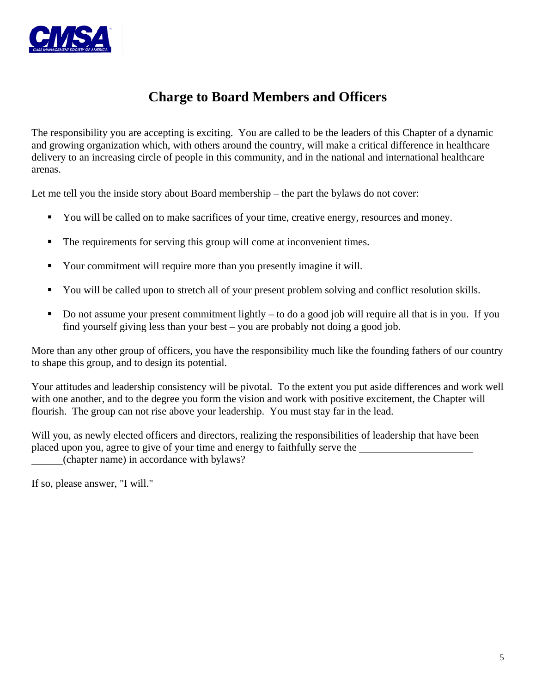

### **Charge to Board Members and Officers**

The responsibility you are accepting is exciting. You are called to be the leaders of this Chapter of a dynamic and growing organization which, with others around the country, will make a critical difference in healthcare delivery to an increasing circle of people in this community, and in the national and international healthcare arenas.

Let me tell you the inside story about Board membership – the part the bylaws do not cover:

- You will be called on to make sacrifices of your time, creative energy, resources and money.
- The requirements for serving this group will come at inconvenient times.
- Your commitment will require more than you presently imagine it will.
- You will be called upon to stretch all of your present problem solving and conflict resolution skills.
- Do not assume your present commitment lightly to do a good job will require all that is in you. If you find yourself giving less than your best – you are probably not doing a good job.

More than any other group of officers, you have the responsibility much like the founding fathers of our country to shape this group, and to design its potential.

Your attitudes and leadership consistency will be pivotal. To the extent you put aside differences and work well with one another, and to the degree you form the vision and work with positive excitement, the Chapter will flourish. The group can not rise above your leadership. You must stay far in the lead.

Will you, as newly elected officers and directors, realizing the responsibilities of leadership that have been placed upon you, agree to give of your time and energy to faithfully serve the (chapter name) in accordance with bylaws?

If so, please answer, "I will."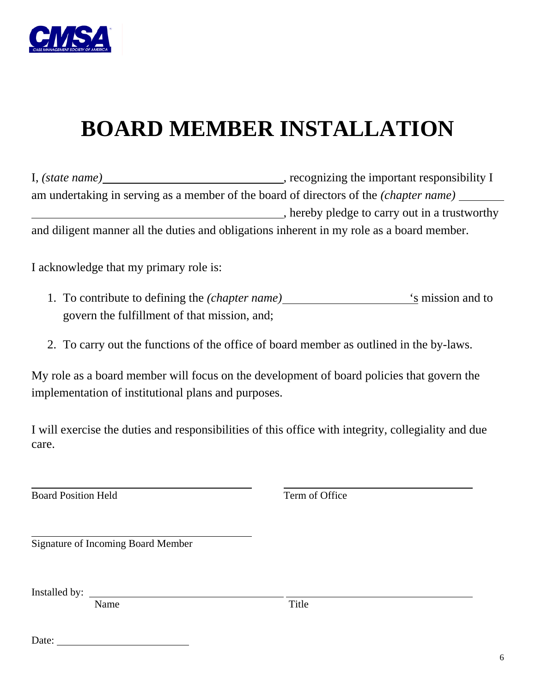

# **BOARD MEMBER INSTALLATION**

I, *(state name)* , recognizing the important responsibility I am undertaking in serving as a member of the board of directors of the *(chapter name)* , hereby pledge to carry out in a trustworthy and diligent manner all the duties and obligations inherent in my role as a board member.

I acknowledge that my primary role is:

- 1. To contribute to defining the *(chapter name)* 's mission and to govern the fulfillment of that mission, and;
- 2. To carry out the functions of the office of board member as outlined in the by-laws.

My role as a board member will focus on the development of board policies that govern the implementation of institutional plans and purposes.

I will exercise the duties and responsibilities of this office with integrity, collegiality and due care.

**Board Position Held** Term of Office

 $\overline{a}$ 

 $\overline{a}$ Signature of Incoming Board Member

Installed by:

Name Title

Date: